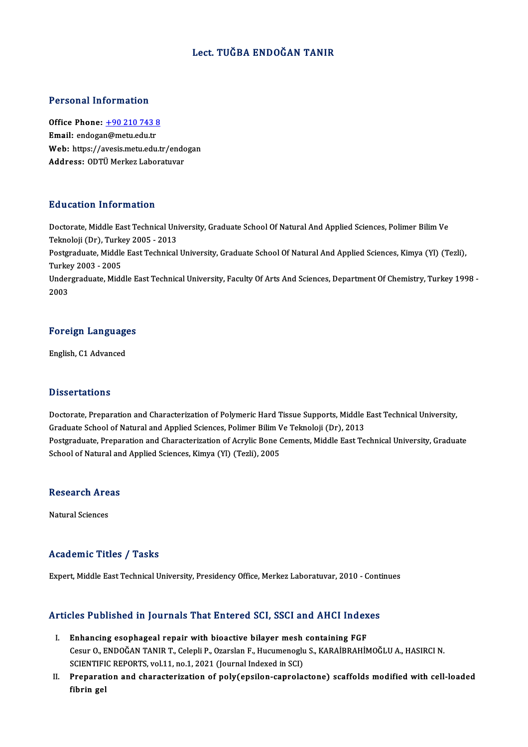#### Lect. TUĞBA ENDOĞAN TANIR

#### Personal Information

Personal Information<br>Office Phone: <u>+90 210 743 8</u><br>Email: andesan@metu.edu.tr office Phone: <u>+90 210 743 {</u><br>Email: endoga[n@metu.edu.tr](tel:+90 210 743 8)<br>Web: https://avesis.metu.edu.tr Office Phone: <u>+90 210 743 8</u><br>Email: endogan@metu.edu.tr<br>Web: https://avesis.metu.edu.tr/endogan<br>Address: ODT<sup>ij</sup> Merkez Laberatiwar Email: endogan@metu.edu.tr<br>Web: https://avesis.metu.edu.tr/endc<br>Address: ODTÜ Merkez Laboratuvar

#### Education Information

E**ducation Information**<br>Doctorate, Middle East Technical University, Graduate School Of Natural And Applied Sciences, Polimer Bilim Ve<br>Telmelaji (Dr.), Turkey 2005 - 2012 Teknoloji (Dr), Turkey<br>Teknoloji (Dr), Turkey 2005 - 2013<br>Postavaduata Middle Fest Technical Doctorate, Middle East Technical University, Graduate School Of Natural And Applied Sciences, Polimer Bilim Ve<br>Teknoloji (Dr), Turkey 2005 - 2013<br>Postgraduate, Middle East Technical University, Graduate School Of Natural A Teknoloji (Dr), Turkey 2005 - 2013<br>Postgraduate, Middle East Technical University, Graduate School Of Natural And Applied Sciences, Kimya (Yl) (Tezli),<br>Turkey 2003 - 2005 Postgraduate, Middle East Technical University, Graduate School Of Natural And Applied Sciences, Kimya (Yl) (Tezli),<br>Turkey 2003 - 2005<br>Undergraduate, Middle East Technical University, Faculty Of Arts And Sciences, Departm Turke<br>Under<br>2003

# <sub>2003</sub><br>Foreign Languages <mark>Foreign Languag</mark><br>English, C1 Advanced

English, C1 Advanced<br>Dissertations

Dissertations<br>Doctorate, Preparation and Characterization of Polymeric Hard Tissue Supports, Middle East Technical University,<br>Creduate School of Natural and Annlied Sciences, Bolimer Bilim Vo Telmoleji (Dr.), 2012 Basser cacroms<br>Doctorate, Preparation and Characterization of Polymeric Hard Tissue Supports, Middle<br>Graduate School of Natural and Applied Sciences, Polimer Bilim Ve Teknoloji (Dr), 2013<br>Postsyaduate Preparation and Chara Doctorate, Preparation and Characterization of Polymeric Hard Tissue Supports, Middle East Technical University,<br>Graduate School of Natural and Applied Sciences, Polimer Bilim Ve Teknoloji (Dr), 2013<br>Postgraduate, Preparat Graduate School of Natural and Applied Sciences, Polimer Bilim V<br>Postgraduate, Preparation and Characterization of Acrylic Bone (<br>School of Natural and Applied Sciences, Kimya (Yl) (Tezli), 2005

# school of Natural an<br>Research Areas <mark>Research Are</mark><br>Natural Sciences

# Natural Sciences<br>Academic Titles / Tasks

Expert, Middle East Technical University, Presidency Office, Merkez Laboratuvar, 2010 - Continues

# expert, middle east Technical University, Presidency Unice, Merkez Laboratuvar, 2010 - Cont<br>Articles Published in Journals That Entered SCI, SSCI and AHCI Indexes

- The Published in Journals That Entered SCI, SSCI and AHCI Index<br>I. Enhancing esophageal repair with bioactive bilayer mesh containing FGF<br>Cour O. ENDOČAN TANIB T. Colon<sup>i</sup> P. Ozarslan E. Hugumanoziu S. KARAİBRAHA CES T dististica in journals That Enter on Ser, SSer and Thref Indenes<br>Enhancing esophageal repair with bioactive bilayer mesh containing FGF<br>Cesur O., ENDOĞAN TANIR T., Celepli P., Ozarslan F., Hucumenoglu S., KARAİBRAHİM Enhancing esophageal repair with bioactive bilayer mesh<br>Cesur O., ENDOĞAN TANIR T., Celepli P., Ozarslan F., Hucumenoglu<br>SCIENTIFIC REPORTS, vol.11, no.1, 2021 (Journal Indexed in SCI)<br>Preperation and characterization of n SCIENTIFIC REPORTS, vol.11, no.1, 2021 (Journal Indexed in SCI)
- II. Preparation and characterization of poly(epsilon-caprolactone) scaffolds modified with cell-loaded fibrin gel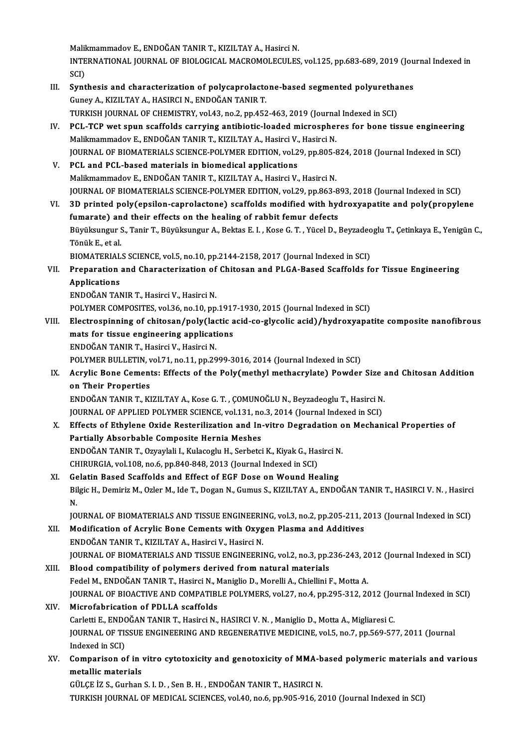Malikmammadov E., ENDOĞAN TANIR T., KIZILTAY A., Hasirci N.<br>INTERNATIONAL JOURNAL OF PIOLOGICAL MACROMOLECULES Malikmammadov E., ENDOĞAN TANIR T., KIZILTAY A., Hasirci N.<br>INTERNATIONAL JOURNAL OF BIOLOGICAL MACROMOLECULES, vol.125, pp.683-689, 2019 (Journal Indexed in Malil<br>INTE<br>SCI)<br>Sunt INTERNATIONAL JOURNAL OF BIOLOGICAL MACROMOLECULES, vol.125, pp.683-689, 2019 (Jou<br>SCI)<br>III. Synthesis and characterization of polycaprolactone-based segmented polyurethanes<br>Cunov A. KIZU TAV A. HASIDCLN, ENDOČAN TANID T

### SCI)<br>Synthesis and characterization of polycaprolacto<br>Guney A., KIZILTAY A., HASIRCI N., ENDOĞAN TANIR T.<br>TURKISH JOURNAL OF CHEMISTRY vol.43, no.3, nn.453 Synthesis and characterization of polycaprolactone-based segmented polyuretha<br>Guney A., KIZILTAY A., HASIRCI N., ENDOĞAN TANIR T.<br>TURKISH JOURNAL OF CHEMISTRY, vol.43, no.2, pp.452-463, 2019 (Journal Indexed in SCI)<br>PCL, T Guney A., KIZILTAY A., HASIRCI N., ENDOĞAN TANIR T.<br>IV. PCL-TCP wet spun scaffolds carrying antibiotic-loaded microspheres for bone tissue engineering<br>Malilmammadov E. ENDOĞAN TANIR T. KIZILTAY A. Hasirsi V. Hasirsi N. TURKISH JOURNAL OF CHEMISTRY, vol.43, no.2, pp.452-463, 2019 (Journa<br>PCL-TCP wet spun scaffolds carrying antibiotic-loaded microspher<br>Malikmammadov E., ENDOĞAN TANIR T., KIZILTAY A., Hasirci V., Hasirci N.<br>JOUPMAL OF PJOMA PCL-TCP wet spun scaffolds carrying antibiotic-loaded microspheres for bone tissue engineering<br>Malikmammadov E., ENDOĞAN TANIR T., KIZILTAY A., Hasirci V., Hasirci N.<br>JOURNAL OF BIOMATERIALS SCIENCE-POLYMER EDITION, vol.29 Malikmammadov E., ENDOĞAN TANIR T., KIZILTAY A., Hasirci V., Hasirci N.<br>JOURNAL OF BIOMATERIALS SCIENCE-POLYMER EDITION, vol.29, pp.805-8<br>V. PCL and PCL-based materials in biomedical applications<br>Malikmammadov E., ENDOĞAN JOURNAL OF BIOMATERIALS SCIENCE-POLYMER EDITION, vol.29, pp.805-824, 2018 (Journal Indexed in SCI)

JOURNAL OF BIOMATERIALS SCIENCE-POLYMER EDITION, vol.29, pp.863-893, 2018 (Journal Indexed in SCI) VI. 3D printed poly(epsilon-caprolactone) scaffolds modified with hydroxyapatite and poly(propylene

fournal OF BIOMATERIALS SCIENCE-POLYMER EDITION, vol.29, pp.863-8<br>3D printed poly(epsilon-caprolactone) scaffolds modified with hydrenarate) and their effects on the healing of rabbit femur defects<br>Bürükayngur S. Tonis T. 3D printed poly(epsilon-caprolactone) scaffolds modified with hydroxyapatite and poly(propylene<br>fumarate) and their effects on the healing of rabbit femur defects<br>Büyüksungur S., Tanir T., Büyüksungur A., Bektas E. I. , Ko f<mark>umarate) an</mark><br>Büyüksungur !<br>Tönük E., et al.<br>PIOMATEPLAL Büyüksungur S., Tanir T., Büyüksungur A., Bektas E. I. , Kose G. T. , Yücel D., Beyzadeo<br>Tönük E., et al.<br>BIOMATERIALS SCIENCE, vol.5, no.10, pp.2144-2158, 2017 (Journal Indexed in SCI)<br>Preperation and Characterization of Tönük E., et al.<br>BIOMATERIALS SCIENCE, vol.5, no.10, pp.2144-2158, 2017 (Journal Indexed in SCI)<br>VII. Preparation and Characterization of Chitosan and PLGA-Based Scaffolds for Tissue Engineering<br>Annlications

## **BIOMATERIAL<br>Preparation<br>Applications**<br>ENDOČAN TAN Applications<br>ENDOĞAN TANIR T., Hasirci V., Hasirci N.

POLYMER COMPOSITES, vol.36, no.10, pp.1917-1930, 2015 (Journal Indexed in SCI)

- VIII. Electrospinning of chitosan/poly(lactic acid-co-glycolic acid)/hydroxyapatite composite nanofibrous POLYMER COMPOSITES, vol.36, no.10, pp.1917<br>Electrospinning of chitosan/poly(lactic a<br>mats for tissue engineering applications<br>ENDOČAN TANIP T. Hosirsi V. Hosirsi N Electrospinning of chitosan/poly(lac<br>mats for tissue engineering applicati<br>ENDOĞAN TANIR T., Hasirci V., Hasirci N.<br>POLYMER PULLETIN vol 71 no 11 nn 20 mats for tissue engineering applications<br>ENDOĞAN TANIR T., Hasirci V., Hasirci N.<br>POLYMER BULLETIN, vol.71, no.11, pp.2999-3016, 2014 (Journal Indexed in SCI)<br>Agrylia Bone Comenta: Effects of the Boly(methyl methecrylate)
	-

### ENDOĞAN TANIR T., Hasirci V., Hasirci N.<br>POLYMER BULLETIN, vol.71, no.11, pp.2999-3016, 2014 (Journal Indexed in SCI)<br>IX. Acrylic Bone Cements: Effects of the Poly(methyl methacrylate) Powder Size and Chitosan Addition POLYMER BULLETIN, v<br>Acrylic Bone Cement<br>on Their Properties<br>ENDOČAN TANIB T. EL Acrylic Bone Cements: Effects of the Poly(methyl methacrylate) Powder Size a<br>Their Properties<br>ENDOĞAN TANIR T., KIZILTAY A., Kose G. T. , ÇOMUNOĞLU N., Beyzadeoglu T., Hasirci N.<br>JOUPMAL OF APPLIED POLYMER SCIENCE vol 121

on Their Properties<br>ENDOĞAN TANIR T., KIZILTAY A., Kose G. T. , ÇOMUNOĞLU N., Beyzadeoglu T., Hasirci N.<br>JOURNAL OF APPLIED POLYMER SCIENCE, vol.131, no.3, 2014 (Journal Indexed in SCI)<br>Effects of Ethylone Ovide Bestaniliz ENDOĞAN TANIR T., KIZILTAY A., Kose G. T. , ÇOMUNOĞLU N., Beyzadeoglu T., Hasirci N.<br>JOURNAL OF APPLIED POLYMER SCIENCE, vol.131, no.3, 2014 (Journal Indexed in SCI)<br>X. Effects of Ethylene Oxide Resterilization and In-vitr

## JOURNAL OF APPLIED POLYMER SCIENCE, vol.131, no<br>Effects of Ethylene Oxide Resterilization and In-<br>Partially Absorbable Composite Hernia Meshes<br>ENDOČAN TANIR T. Owevleli L. Kulasselu H. Serbetei Effects of Ethylene Oxide Resterilization and In-vitro Degradation o<br>Partially Absorbable Composite Hernia Meshes<br>ENDOĞAN TANIR T., Ozyaylali I., Kulacoglu H., Serbetci K., Kiyak G., Hasirci N.<br>CHIBURCIA vel 108 ne 6 np 84 Partially Absorbable Composite Hernia Meshes<br>ENDOĞAN TANIR T., Ozyaylali I., Kulacoglu H., Serbetci K., Kiyak G., Hasirci N<br>CHIRURGIA, vol.108, no.6, pp.840-848, 2013 (Journal Indexed in SCI)<br>XI. Gelatin Based Scaffolds an

ENDOĞAN TANIR T., Ozyaylali I., Kulacoglu H., Serbetci K., Kiyak G., Hasirci N.

CHIRURGIA, vol.108, no.6, pp.840-848, 2013 (Journal Indexed in SCI)<br>Gelatin Based Scaffolds and Effect of EGF Dose on Wound Healing<br>Bilgic H., Demiriz M., Ozler M., Ide T., Dogan N., Gumus S., KIZILTAY A., ENDOĞAN TANIR T. Ge<br>Bil<br>IO Bilgic H., Demiriz M., Ozler M., Ide T., Dogan N., Gumus S., KIZILTAY A., ENDOĞAN TANIR T., HASIRCI V. N. , Hasirci<br>N.<br>JOURNAL OF BIOMATERIALS AND TISSUE ENGINEERING, vol.3, no.2, pp.205-211, 2013 (Journal Indexed in SCI)<br>

N.<br>JOURNAL OF BIOMATERIALS AND TISSUE ENGINEERING, vol.3, no.2, pp.205-211, 2<br>XII. Modification of Acrylic Bone Cements with Oxygen Plasma and Additives<br>ENDOČAN TANIP T. KIZH TAV A. Hasirsi V. Hasirsi N JOURNAL OF BIOMATERIALS AND TISSUE ENGINEERI<br>Modification of Acrylic Bone Cements with Oxyg<br>ENDOĞAN TANIR T., KIZILTAY A., Hasirci V., Hasirci N.<br>JOUPNAL OF PIOMATERIALS AND TISSUE ENCINEERI Modification of Acrylic Bone Cements with Oxygen Plasma and Additives<br>ENDOĞAN TANIR T., KIZILTAY A., Hasirci V., Hasirci N.<br>JOURNAL OF BIOMATERIALS AND TISSUE ENGINEERING, vol.2, no.3, pp.236-243, 2012 (Journal Indexed in ENDOĞAN TANIR T., KIZILTAY A., Hasirci V., Hasirci N.<br>JOURNAL OF BIOMATERIALS AND TISSUE ENGINEERING, vol.2, no.3, pp.<br>XIII. Blood compatibility of polymers derived from natural materials<br>Eqdel M. ENDOČAN TANIR T. Hasirsi

### JOURNAL OF BIOMATERIALS AND TISSUE ENGINEERING, vol.2, no.3, pp.236-243, 20<br>Blood compatibility of polymers derived from natural materials<br>Fedel M., ENDOĞAN TANIR T., Hasirci N., Maniglio D., Morelli A., Chiellini F., Mott Blood compatibility of polymers derived from natural materials<br>Fedel M., ENDOĞAN TANIR T., Hasirci N., Maniglio D., Morelli A., Chiellini F., Motta A.<br>JOURNAL OF BIOACTIVE AND COMPATIBLE POLYMERS, vol.27, no.4, pp.295-312, Fedel M., ENDOĞAN TANIR T., Hasirci N., Maniglio D., Morelli A., Chiellini F., Motta A.<br>JOURNAL OF BIOACTIVE AND COMPATIBLE POLYMERS, vol.27, no.4, pp.295-312, 20<br>XIV. Microfabrication of PDLLA scaffolds

JOURNAL OF BIOACTIVE AND COMPATIBLE POLYMERS, vol.27, no.4, pp.295-312, 2012 (Journal Microfabrication of PDLLA scaffolds<br>Carletti E., ENDOĞAN TANIR T., Hasirci N., HASIRCI V.N. , Maniglio D., Motta A., Migliaresi C.<br>JOURN JOURNAL OF TISSUE ENGINEERING AND REGENERATIVE MEDICINE, vol.5, no.7, pp.569-577, 2011 (Journal Indexed in SCI) Carletti E., ENDOĞAN TANIR T., Hasirci N., HASIRCI V. N., Maniglio D., Motta A., Migliaresi C. JOURNAL OF TISSUE ENGINEERING AND REGENERATIVE MEDICINE, vol.5, no.7, pp.569-577, 2011 (Journal<br>Indexed in SCI)<br>XV. Comparison of in vitro cytotoxicity and genotoxicity of MMA-based polymeric materials and various<br>matellis

# Indexed in SCI)<br>Comparison of in<br>metallic materials<br>C<sup>ULCE 17</sup> S. Curban Comparison of in vitro cytotoxicity and genotoxicity of MMA-b<br>metallic materials<br>GÜLÇE İZ S., Gurhan S. I. D. , Sen B. H. , ENDOĞAN TANIR T., HASIRCI N.<br>TURKISH JOURNAL OF MEDICAL SCIENCES .val 40 ne 6 np 905 916 34

metallic materials<br>GÜLÇE İZ S., Gurhan S. I. D. , Sen B. H. , ENDOĞAN TANIR T., HASIRCI N.<br>TURKISH JOURNAL OF MEDICAL SCIENCES, vol.40, no.6, pp.905-916, 2010 (Journal Indexed in SCI)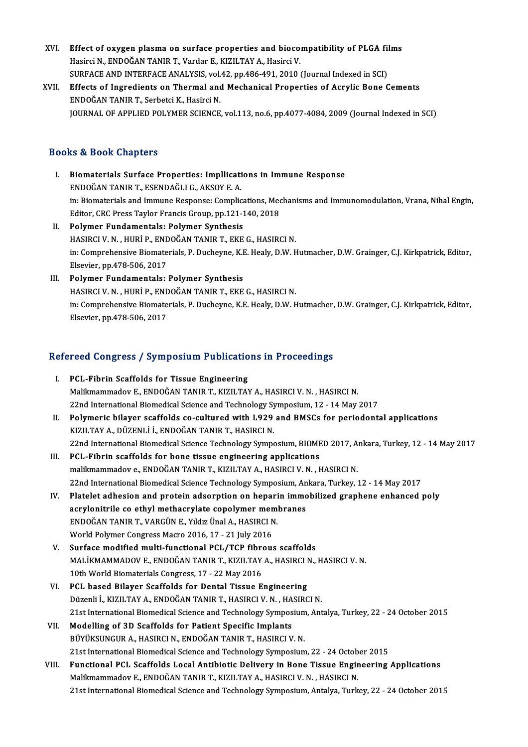- XVI. Effect of oxygen plasma on surface properties and biocompatibility of PLGA films<br>Hesirgi N. FNDOČAN TANIR T. Verder E. KIZU TAV A. Hesirgi V. Effect of oxygen plasma on surface properties and bioco:<br>Hasirci N., ENDOĞAN TANIR T., Vardar E., KIZILTAY A., Hasirci V.<br>SUREACE AND INTERFACE ANALYSIS, vol.42, pp.486,491,2010. Effect of oxygen plasma on surface properties and biocompatibility of PLGA fil<br>Hasirci N., ENDOĞAN TANIR T., Vardar E., KIZILTAY A., Hasirci V.<br>SURFACE AND INTERFACE ANALYSIS, vol.42, pp.486-491, 2010 (Journal Indexed in S Hasirci N., ENDOĞAN TANIR T., Vardar E., KIZILTAY A., Hasirci V.<br>SURFACE AND INTERFACE ANALYSIS, vol.42, pp.486-491, 2010 (Journal Indexed in SCI)<br>XVII. Effects of Ingredients on Thermal and Mechanical Properties of Acryli SURFACE AND INTERFACE ANALYSIS, vol.42, pp.486-491, 2010 (Journal Indexed in SCI)
- JOURNAL OF APPLIED POLYMER SCIENCE, vol.113, no.6, pp.4077-4084, 2009 (Journal Indexed in SCI)

#### Books&Book Chapters

- I. Biomaterials Surface Properties: Impllications in Immune Response ENDOĞANTANIRT.,ESENDAĞLIG.,AKSOYE.A. Biomaterials Surface Properties: Impllications in Immune Response<br>ENDOĞAN TANIR T., ESENDAĞLI G., AKSOY E. A.<br>in: Biomaterials and Immune Response: Complications, Mechanisms and Immunomodulation, Vrana, Nihal Engin,<br>Editor ENDOĞAN TANIR T., ESENDAĞLI G., AKSOY E. A.<br>in: Biomaterials and Immune Response: Complications, Mec<br>Editor, CRC Press Taylor Francis Group, pp.121-140, 2018<br>Polymor Eundamentale: Polymor Synthosis Editor, CRC Press Taylor Francis Group, pp.121-140, 2018<br>II. Polymer Fundamentals: Polymer Synthesis
- HASIRCIV.N. ,HURİP.,ENDOĞANTANIRT.,EKEG.,HASIRCIN. Polymer Fundamentals: Polymer Synthesis<br>HASIRCI V. N. , HURİ P., ENDOĞAN TANIR T., EKE G., HASIRCI N.<br>in: Comprehensive Biomaterials, P. Ducheyne, K.E. Healy, D.W. Hutmacher, D.W. Grainger, C.J. Kirkpatrick, Editor,<br>Elsevi HASIRCI V. N. , HURİ P., ENE<br>in: Comprehensive Biomate<br>Elsevier, pp.478-506, 2017<br>Polymor Eundemantele: in: Comprehensive Biomaterials, P. Ducheyne, K.I<br>Elsevier, pp.478-506, 2017<br>III. Polymer Fundamentals: Polymer Synthesis<br>HASERCLV N. HURLE ENDOČAN TANIR T. EVE
- Elsevier, pp.478-506, 2017<br>Polymer Fundamentals: Polymer Synthesis<br>HASIRCI V. N. , HURİ P., ENDOĞAN TANIR T., EKE G., HASIRCI N.<br>in: Comprehensive Biematerials, B. Dushevne, K.E. Healy, D.W. K III. Polymer Fundamentals: Polymer Synthesis<br>HASIRCI V. N. , HURİ P., ENDOĞAN TANIR T., EKE G., HASIRCI N.<br>in: Comprehensive Biomaterials, P. Ducheyne, K.E. Healy, D.W. Hutmacher, D.W. Grainger, C.J. Kirkpatrick, Editor,<br>E HASIRCI V. N. , HURİ P., ENE<br>in: Comprehensive Biomate<br>Elsevier, pp.478-506, 2017

# Elsevier, pp.478-506, 2017<br>Refereed Congress / Symposium Publications in Proceedings

- efereed Congress / Symposium Publication<br>I. PCL-Fibrin Scaffolds for Tissue Engineering<br>Malilmammadou E. ENDOČAN TANIR T. KIZU TAN I. PCL-Fibrin Scaffolds for Tissue Engineering<br>Malikmammadov E., ENDOĞAN TANIR T., KIZILTAY A., HASIRCI V. N., HASIRCI N. PCL-Fibrin Scaffolds for Tissue Engineering<br>Malikmammadov E., ENDOĞAN TANIR T., KIZILTAY A., HASIRCI V. N. , HASIRCI N.<br>22nd International Biomedical Science and Technology Symposium, 12 - 14 May 2017<br>Polymonia bilayar saa
- II. Polymeric bilayer scaffolds co-cultured with L929 and BMSCs for periodontal applications<br>KIZILTAY A., DÜZENLİ İ., ENDOĞAN TANIR T., HASIRCI N. 22nd International Biomedical Science and Technology Sy<br>Polymeric bilayer scaffolds co-cultured with L929<br>KIZILTAY A., DÜZENLİ İ., ENDOĞAN TANIR T., HASIRCI N.<br>22nd International Biomedical Science Technology Symne 22nd International Biomedical Science Technology Symposium, BIOMED 2017, Ankara, Turkey, 12 - 14 May 2017
- III. PCL-Fibrin scaffolds for bone tissue engineering applications 22nd International Biomedical Science Technology Symposium, BIOMED 2017, A.<br>**PCL-Fibrin scaffolds for bone tissue engineering applications**<br>malikmammadov e., ENDOĞAN TANIR T., KIZILTAY A., HASIRCI V. N. , HASIRCI N.<br>22nd I PCL-Fibrin scaffolds for bone tissue engineering applications<br>malikmammadov e., ENDOĞAN TANIR T., KIZILTAY A., HASIRCI V. N. , HASIRCI N.<br>22nd International Biomedical Science Technology Symposium, Ankara, Turkey, 12 - 14 malikmammadov e., ENDOĞAN TANIR T., KIZILTAY A., HASIRCI V. N. , HASIRCI N.<br>22nd International Biomedical Science Technology Symposium, Ankara, Turkey, 12 - 14 May 2017<br>IV. Platelet adhesion and protein adsorption on hepar
- 22nd International Biomedical Science Technology Symposium, An<br>Platelet adhesion and protein adsorption on heparin immo<br>acrylonitrile co ethyl methacrylate copolymer membranes<br>ENDOČAN TANIP T. VAPCIJN E. Vidy Unal A. HASIP Platelet adhesion and protein adsorption on hepari<br>acrylonitrile co ethyl methacrylate copolymer mem<br>ENDOĞAN TANIR T., VARGÜN E., Yıldız Ünal A., HASIRCI N.<br>World Polymer Congress Masre 2016 17 - 21 July 2016 acrylonitrile co ethyl methacrylate copolymer membranes<br>ENDOĞAN TANIR T., VARGÜN E., Yıldız Ünal A., HASIRCI N.<br>World Polymer Congress Macro 2016, 17 - 21 July 2016
- V. Surface modified multi-functional PCL/TCP fibrous scaffolds MALİKMAMMADOV E., ENDOĞAN TANIR T., KIZILTAY A., HASIRCI N., HASIRCI V. N. 10th World Biomaterials Congress, 17 - 22 May 2016 MALİKMAMMADOV E., ENDOĞAN TANIR T., KIZILTAY A., HASIRCI I<br>10th World Biomaterials Congress, 17 - 22 May 2016<br>VI. PCL based Bilayer Scaffolds for Dental Tissue Engineering<br>Düsenli LKIZU TAY A. ENDOĞAN TANIR T. HASIRCI V.N.
- 10th World Biomaterials Congress, 17 22 May 2016<br>PCL based Bilayer Scaffolds for Dental Tissue Engineering<br>Düzenli İ., KIZILTAY A., ENDOĞAN TANIR T., HASIRCI V. N. , HASIRCI N.<br>21st International Biomedical Science and T Düzenli İ., KIZILTAY A., ENDOĞAN TANIR T., HASIRCI V. N., HASIRCI N.<br>21st International Biomedical Science and Technology Symposium, Antalya, Turkey, 22 - 24 October 2015
- VII. Modelling of 3D Scaffolds for Patient Specific Implants BÜYÜKSUNGURA.,HASIRCIN.,ENDOĞANTANIRT.,HASIRCIV.N. 21st International Biomedical Science and Technology Symposium, 22 - 24 October 2015 BÜYÜKSUNGUR A., HASIRCI N., ENDOĞAN TANIR T., HASIRCI V. N.<br>21st International Biomedical Science and Technology Symposium, 22 - 24 October 2015<br>VIII. Functional PCL Scaffolds Local Antibiotic Delivery in Bone Tissue Engin
- Malikmammadov E., ENDOĞAN TANIR T., KIZILTAY A., HASIRCI V. N., HASIRCI N.<br>21st International Biomedical Science and Technology Symposium, Antalya, Turkey, 22 24 October 2015 Functional PCL Scaffolds Local Antibiotic Delivery in Bone Tissue Engineering Applications<br>Malikmammadov E., ENDOĞAN TANIR T., KIZILTAY A., HASIRCI V. N. , HASIRCI N.<br>21st International Biomedical Science and Technology Sy